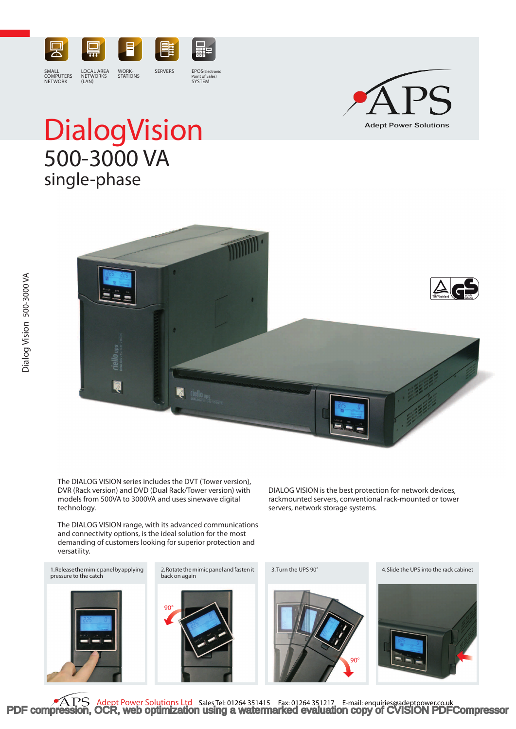

SMALL COMPUTERS NETWORK

LOCAL AREA NETWORKS  $(IAN)$ 

WORK-STATIONS

Point of Sales) SYSTEM



# **Dialog Vision** 500-3000 VA single-phase



The DIALOG VISION series includes the DVT (Tower version), DVR (Rack version) and DVD (Dual Rack/Tower version) with models from 500VA to 3000VA and uses sinewave digital technology.

The DIALOG VISION range, with its advanced communications and connectivity options, is the ideal solution for the most demanding of customers looking for superior protection and versatility.

1.Release the mimic panel by applying pressure to the catch

2.Rotate the mimic panel and fasten it back on again





servers, network storage systems.

DIALOG VISION is the best protection for network devices, rackmounted servers, conventional rack-mounted or tower

3.Turn the UPS 90° 4.Slide the UPS into the rack cabinet



**PAPS** Adept Power Solutions Ltd Sales Tel: 01264 351415 Fax: 01264 351217 E-mail: enquiries@adeptpower.co.uk<br>[PDF compression, OCR, web optimization using a watermarked evaluation copy of CVISION PDFCompressor](http://www.cvisiontech.com/)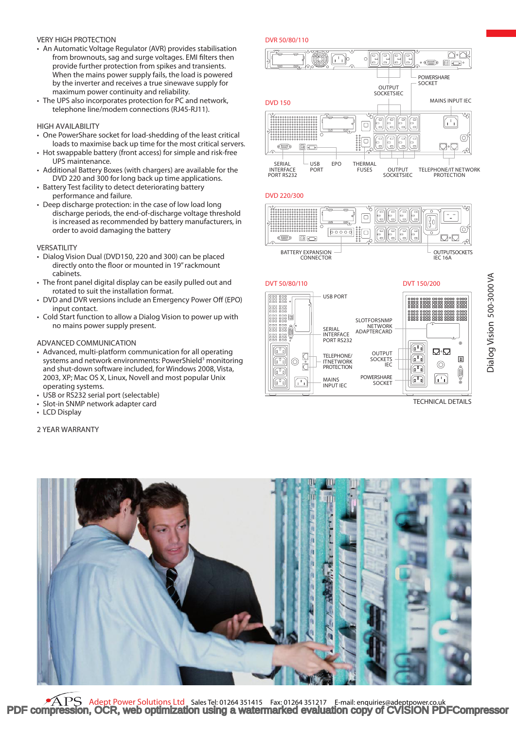## VERY HIGH PROTECTION

- An Automatic Voltage Regulator (AVR) provides stabilisation from brownouts, sag and surge voltages. EMI filters then provide further protection from spikes and transients. When the mains power supply fails, the load is powered by the inverter and receives a true sinewave supply for maximum power continuity and reliability.
- The UPS also incorporates protection for PC and network, telephone line/modem connections (RJ45-RJ11).

## HIGH AVAILABILITY

- One PowerShare socket for load-shedding of the least critical loads to maximise back up time for the most critical servers.
- Hot swappable battery (front access) for simple and risk-free UPS maintenance.
- • Additional Battery Boxes (with chargers) are available for the DVD 220 and 300 for long back up time applications.
- Battery Test facility to detect deteriorating battery performance and failure.
- Deep discharge protection: in the case of low load long discharge periods, the end-of-discharge voltage threshold is increased as recommended by battery manufacturers, in order to avoid damaging the battery

#### VERSATILITY

- Dialog Vision Dual (DVD150, 220 and 300) can be placed directly onto the floor or mounted in 19" rackmount cabinets.
- The front panel digital display can be easily pulled out and rotated to suit the installation format.
- DVD and DVR versions include an Emergency Power Off (EPO) input contact.
- • Cold Start function to allow a Dialog Vision to power up with no mains power supply present.

# ADVANCED COMMUNICATION

- Advanced, multi-platform communication for all operating systems and network environments: PowerShield<sup>3</sup> monitoring and shut-down software included, for Windows 2008, Vista, 2003, XP; Mac OS X, Linux, Novell and most popular Unix operating systems.
- USB or RS232 serial port (selectable)
- • Slot-in SNMP network adapter card
- LCD Display

# 2 YEAR WARRANTY





### DVD 220/300



BATTERY EXPANSION CONNECTOR



TECHNICAL DETAILS



Adept Power Solutions Ltd Sales Tel: 01264 351415 Fax: 01264 351217 F-mail: enquiries@adeptpower.co.uk [PDF compression, OCR, web optimization using a watermarked evaluation copy of CVISION PDFCompressor](http://www.cvisiontech.com/)

Dialog Vision 500-3000 VA Dialog Vision 500-3000 VA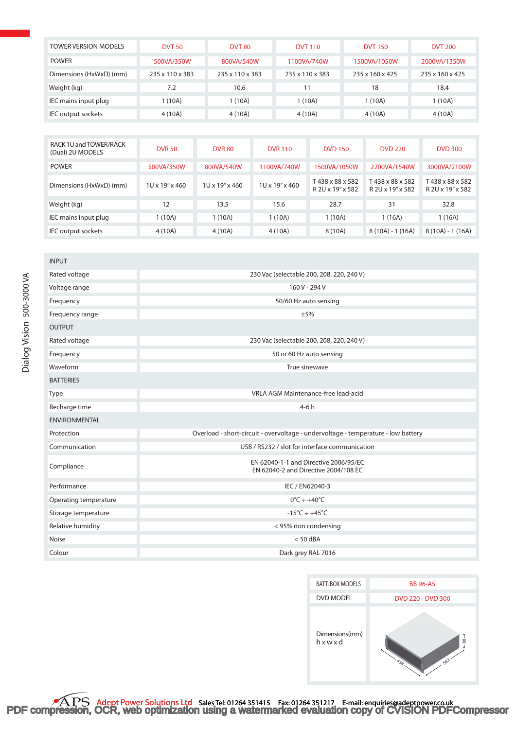| <b>TOWER VERSION MODELS</b> | <b>DVT 50</b>   | <b>DVT 80</b>   | <b>DVT 110</b>  | <b>DVT 150</b>  | <b>DVT 200</b>  |
|-----------------------------|-----------------|-----------------|-----------------|-----------------|-----------------|
| <b>POWER</b>                | 500VA/350W      | 800VA/540W      | 1100VA/740W     | 1500VA/1050W    | 2000VA/1350W    |
| Dimensions (HxWxD) (mm)     | 235 x 110 x 383 | 235 x 110 x 383 | 235 x 110 x 383 | 235 x 160 x 425 | 235 x 160 x 425 |
| Weight (kg)                 | 7.2             | 10.6            | 11              | 18              | 18.4            |
| IEC mains input plug        | 1 (10A)         | 1(10A)          | 1 (10A)         | 1(10A)          | 1 (10A)         |
| IEC output sockets          | 4 (10A)         | 4 (10A)         | 4 (10A)         | 4 (10A)         | 4 (10A)         |

| RACK 1U and TOWER/RACK<br>(Dual) 2U MODELS | <b>DVR 50</b>  | <b>DVR 80</b>               | <b>DVR 110</b> | <b>DVD 150</b>                      | <b>DVD 220</b>                      | <b>DVD 300</b>                      |
|--------------------------------------------|----------------|-----------------------------|----------------|-------------------------------------|-------------------------------------|-------------------------------------|
| <b>POWER</b>                               | 500VA/350W     | 800VA/540W                  | 1100VA/740W    | 1500VA/1050W                        | 2200VA/1540W                        | 3000VA/2100W                        |
| Dimensions (HxWxD) (mm)                    | 1U x 19" x 460 | $10 \times 19'' \times 460$ | 1U x 19" x 460 | T438 x 88 x 582<br>R 2U x 19" x 582 | T438 x 88 x 582<br>R 2U x 19" x 582 | T438 x 88 x 582<br>R 2U x 19" x 582 |
| Weight (kg)                                | 12             | 13.5                        | 15.6           | 28.7                                | 31                                  | 32.8                                |
| IEC mains input plug                       | 1(10A)         | 1(10A)                      | 1(10A)         | 1(10A)                              | 1(16A)                              | 1(16A)                              |
| IEC output sockets                         | 4 (10A)        | 4 (10A)                     | 4 (10A)        | 8 (10A)                             | $8(10A) - 1(16A)$                   | $8(10A) - 1(16A)$                   |

| <b>INPUT</b>          |                                                                                   |  |  |
|-----------------------|-----------------------------------------------------------------------------------|--|--|
| Rated voltage         | 230 Vac (selectable 200, 208, 220, 240 V)                                         |  |  |
| Voltage range         | 160 V - 294 V                                                                     |  |  |
| Frequency             | 50/60 Hz auto sensing                                                             |  |  |
| Frequency range       | ±5%                                                                               |  |  |
| <b>OUTPUT</b>         |                                                                                   |  |  |
| Rated voltage         | 230 Vac (selectable 200, 208, 220, 240 V)                                         |  |  |
| Frequency             | 50 or 60 Hz auto sensing                                                          |  |  |
| Waveform              | True sinewave                                                                     |  |  |
| <b>BATTERIES</b>      |                                                                                   |  |  |
| Type                  | <b>VRLA AGM Maintenance-free lead-acid</b>                                        |  |  |
| Recharge time         | $4-6h$                                                                            |  |  |
| <b>ENVIRONMENTAL</b>  |                                                                                   |  |  |
| Protection            | Overload - short-circuit - overvoltage - undervoltage - temperature - low battery |  |  |
| Communication         | USB / RS232 / slot for interface communication                                    |  |  |
| Compliance            | EN 62040-1-1 and Directive 2006/95/EC<br>EN 62040-2 and Directive 2004/108 EC     |  |  |
| Performance           | IEC / EN62040-3                                                                   |  |  |
| Operating temperature | $0^{\circ}$ C ÷ +40 $^{\circ}$ C                                                  |  |  |
| Storage temperature   | $-15^{\circ}C \div +45^{\circ}C$                                                  |  |  |
| Relative humidity     | < 95% non condensing                                                              |  |  |
| <b>Noise</b>          | $< 50$ dBA                                                                        |  |  |
| Colour                | Dark grey RAL 7016                                                                |  |  |